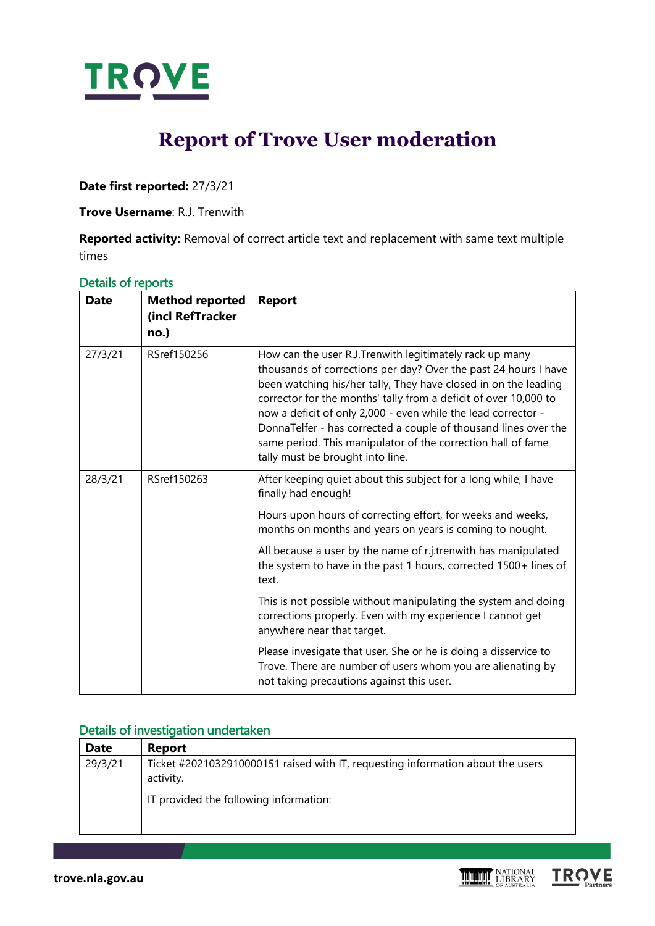

# **Report of Trove User moderation**

**Date first reported:** 27/3/21

**Trove Username**: R.J. Trenwith

**Reported activity:** Removal of correct article text and replacement with same text multiple times

| Details of reports |  |  |
|--------------------|--|--|
|                    |  |  |

| <b>Date</b> | <b>Method reported</b><br>(incl RefTracker<br>no.) | <b>Report</b>                                                                                                                                                                                                                                                                                                                                                                                                                                                                                             |
|-------------|----------------------------------------------------|-----------------------------------------------------------------------------------------------------------------------------------------------------------------------------------------------------------------------------------------------------------------------------------------------------------------------------------------------------------------------------------------------------------------------------------------------------------------------------------------------------------|
| 27/3/21     | RSref150256                                        | How can the user R.J.Trenwith legitimately rack up many<br>thousands of corrections per day? Over the past 24 hours I have<br>been watching his/her tally, They have closed in on the leading<br>corrector for the months' tally from a deficit of over 10,000 to<br>now a deficit of only 2,000 - even while the lead corrector -<br>DonnaTelfer - has corrected a couple of thousand lines over the<br>same period. This manipulator of the correction hall of fame<br>tally must be brought into line. |
| 28/3/21     | RSref150263                                        | After keeping quiet about this subject for a long while, I have<br>finally had enough!                                                                                                                                                                                                                                                                                                                                                                                                                    |
|             |                                                    | Hours upon hours of correcting effort, for weeks and weeks,<br>months on months and years on years is coming to nought.                                                                                                                                                                                                                                                                                                                                                                                   |
|             |                                                    | All because a user by the name of r.j.trenwith has manipulated<br>the system to have in the past 1 hours, corrected 1500+ lines of<br>text.                                                                                                                                                                                                                                                                                                                                                               |
|             |                                                    | This is not possible without manipulating the system and doing<br>corrections properly. Even with my experience I cannot get<br>anywhere near that target.                                                                                                                                                                                                                                                                                                                                                |
|             |                                                    | Please invesigate that user. She or he is doing a disservice to<br>Trove. There are number of users whom you are alienating by<br>not taking precautions against this user.                                                                                                                                                                                                                                                                                                                               |

### **Details of investigation undertaken**

| <b>Date</b> | <b>Report</b>                                                                                |
|-------------|----------------------------------------------------------------------------------------------|
| 29/3/21     | Ticket #2021032910000151 raised with IT, requesting information about the users<br>activity. |
|             | IT provided the following information:                                                       |

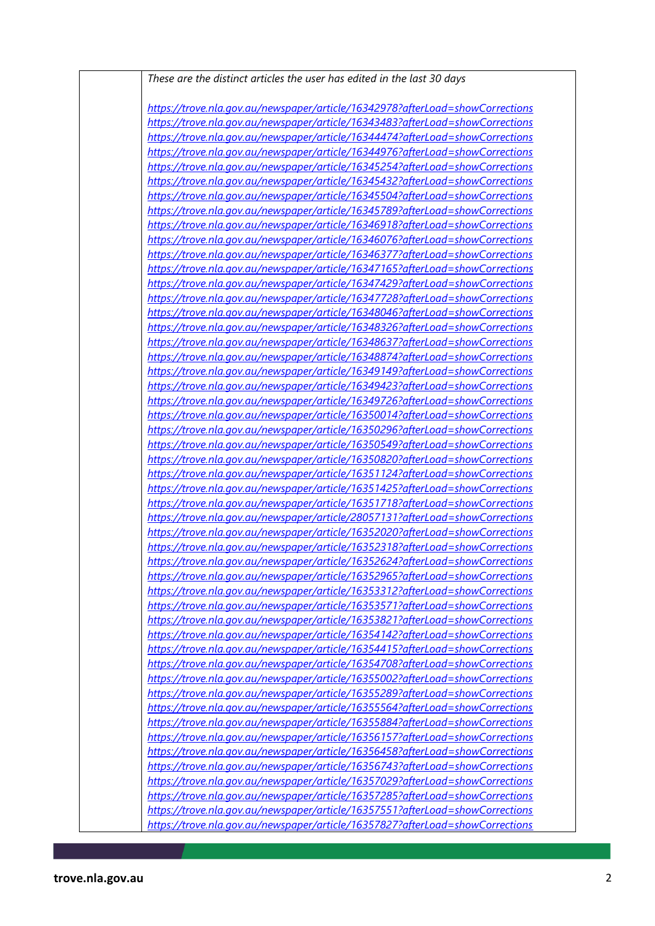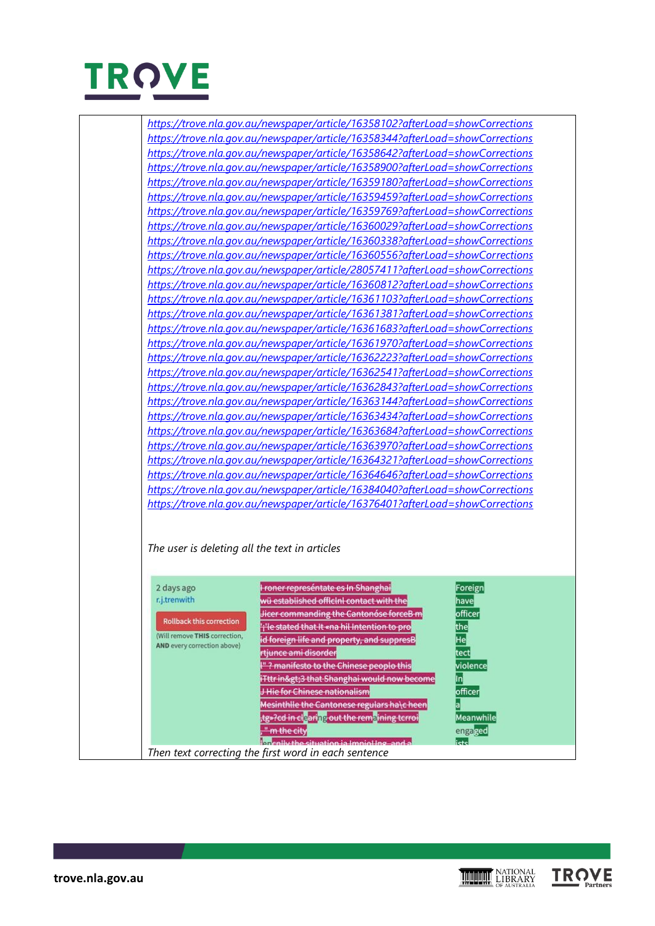

| https://trove.nla.gov.au/newspaper/article/16358102?afterLoad=showCorrections<br>https://trove.nla.gov.au/newspaper/article/16358344?afterLoad=showCorrections<br>https://trove.nla.gov.au/newspaper/article/16358642?afterLoad=showCorrections<br>https://trove.nla.gov.au/newspaper/article/16358900?afterLoad=showCorrections<br>https://trove.nla.gov.au/newspaper/article/16359180?afterLoad=showCorrections<br>https://trove.nla.gov.au/newspaper/article/16359459?afterLoad=showCorrections<br>https://trove.nla.gov.au/newspaper/article/16359769?afterLoad=showCorrections<br>https://trove.nla.gov.au/newspaper/article/16360029?afterLoad=showCorrections<br>https://trove.nla.gov.au/newspaper/article/16360338?afterLoad=showCorrections<br>https://trove.nla.gov.au/newspaper/article/16360556?afterLoad=showCorrections<br>https://trove.nla.gov.au/newspaper/article/28057411?afterLoad=showCorrections<br>https://trove.nla.gov.au/newspaper/article/16360812?afterLoad=showCorrections<br>https://trove.nla.gov.au/newspaper/article/16361103?afterLoad=showCorrections<br>https://trove.nla.gov.au/newspaper/article/16361381?afterLoad=showCorrections<br>https://trove.nla.gov.au/newspaper/article/16361683?afterLoad=showCorrections<br>https://trove.nla.gov.au/newspaper/article/16361970?afterLoad=showCorrections<br>https://trove.nla.gov.au/newspaper/article/16362223?afterLoad=showCorrections<br>https://trove.nla.gov.au/newspaper/article/16362541?afterLoad=showCorrections<br>https://trove.nla.gov.au/newspaper/article/16362843?afterLoad=showCorrections<br>https://trove.nla.gov.au/newspaper/article/16363144?afterLoad=showCorrections<br>https://trove.nla.gov.au/newspaper/article/16363434?afterLoad=showCorrections<br>https://trove.nla.gov.au/newspaper/article/16363684?afterLoad=showCorrections<br>https://trove.nla.gov.au/newspaper/article/16363970?afterLoad=showCorrections<br>https://trove.nla.gov.au/newspaper/article/16364321?afterLoad=showCorrections<br>https://trove.nla.gov.au/newspaper/article/16364646?afterLoad=showCorrections<br>https://trove.nla.gov.au/newspaper/article/16384040?afterLoad=showCorrections<br>https://trove.nla.gov.au/newspaper/article/16376401?afterLoad=showCorrections<br>The user is deleting all the text in articles<br>roner represéntate es In Shanghai<br>2 days ago<br>Foreign<br>r.j.trenwith<br>wü established officini contact with the<br>havel<br>Jicer commanding the Cantonóse forceB m<br>officer<br><b>Rollback this correction</b><br>ii'le stated that it «na hil Intention to pro<br>the<br>(Will remove THIS correction,<br>He<br>id foreign life and property, and suppresB<br>AND every correction above)<br>rtjunce ami disorder<br>tect<br>I"? manifesto to the Chinese peoplo this<br>violence<br>In<br>iTttr in>3 that Shanghai would now become<br>J Hie for Chinese nationalism<br>officer<br>Mesinthlle the Cantonese regulars ha\c heen<br><b>Meanwhile</b><br>tg»?cd in cl <mark>e</mark> aring out the rem <mark>a</mark> ining tcrroi,<br>" m the city<br>engaged<br><b>Intenlivithe situation is impieling and a</b><br>ictc |  |  |
|-----------------------------------------------------------------------------------------------------------------------------------------------------------------------------------------------------------------------------------------------------------------------------------------------------------------------------------------------------------------------------------------------------------------------------------------------------------------------------------------------------------------------------------------------------------------------------------------------------------------------------------------------------------------------------------------------------------------------------------------------------------------------------------------------------------------------------------------------------------------------------------------------------------------------------------------------------------------------------------------------------------------------------------------------------------------------------------------------------------------------------------------------------------------------------------------------------------------------------------------------------------------------------------------------------------------------------------------------------------------------------------------------------------------------------------------------------------------------------------------------------------------------------------------------------------------------------------------------------------------------------------------------------------------------------------------------------------------------------------------------------------------------------------------------------------------------------------------------------------------------------------------------------------------------------------------------------------------------------------------------------------------------------------------------------------------------------------------------------------------------------------------------------------------------------------------------------------------------------------------------------------------------------------------------------------------------------------------------------------------------------------------------------------------------------------------------------------------------------------------------------------------------------------------------------------------------------------------------------------------------------------------------------------------------------------------------------------------------------------------------------------------------------------------------------------------------------------------------------------------------------------------------------------------------------------------------------------------------------------------------------------------------------------------------------------------------------------------------------------------------------------------------------------------|--|--|
|                                                                                                                                                                                                                                                                                                                                                                                                                                                                                                                                                                                                                                                                                                                                                                                                                                                                                                                                                                                                                                                                                                                                                                                                                                                                                                                                                                                                                                                                                                                                                                                                                                                                                                                                                                                                                                                                                                                                                                                                                                                                                                                                                                                                                                                                                                                                                                                                                                                                                                                                                                                                                                                                                                                                                                                                                                                                                                                                                                                                                                                                                                                                                                 |  |  |
|                                                                                                                                                                                                                                                                                                                                                                                                                                                                                                                                                                                                                                                                                                                                                                                                                                                                                                                                                                                                                                                                                                                                                                                                                                                                                                                                                                                                                                                                                                                                                                                                                                                                                                                                                                                                                                                                                                                                                                                                                                                                                                                                                                                                                                                                                                                                                                                                                                                                                                                                                                                                                                                                                                                                                                                                                                                                                                                                                                                                                                                                                                                                                                 |  |  |
|                                                                                                                                                                                                                                                                                                                                                                                                                                                                                                                                                                                                                                                                                                                                                                                                                                                                                                                                                                                                                                                                                                                                                                                                                                                                                                                                                                                                                                                                                                                                                                                                                                                                                                                                                                                                                                                                                                                                                                                                                                                                                                                                                                                                                                                                                                                                                                                                                                                                                                                                                                                                                                                                                                                                                                                                                                                                                                                                                                                                                                                                                                                                                                 |  |  |
|                                                                                                                                                                                                                                                                                                                                                                                                                                                                                                                                                                                                                                                                                                                                                                                                                                                                                                                                                                                                                                                                                                                                                                                                                                                                                                                                                                                                                                                                                                                                                                                                                                                                                                                                                                                                                                                                                                                                                                                                                                                                                                                                                                                                                                                                                                                                                                                                                                                                                                                                                                                                                                                                                                                                                                                                                                                                                                                                                                                                                                                                                                                                                                 |  |  |
|                                                                                                                                                                                                                                                                                                                                                                                                                                                                                                                                                                                                                                                                                                                                                                                                                                                                                                                                                                                                                                                                                                                                                                                                                                                                                                                                                                                                                                                                                                                                                                                                                                                                                                                                                                                                                                                                                                                                                                                                                                                                                                                                                                                                                                                                                                                                                                                                                                                                                                                                                                                                                                                                                                                                                                                                                                                                                                                                                                                                                                                                                                                                                                 |  |  |
|                                                                                                                                                                                                                                                                                                                                                                                                                                                                                                                                                                                                                                                                                                                                                                                                                                                                                                                                                                                                                                                                                                                                                                                                                                                                                                                                                                                                                                                                                                                                                                                                                                                                                                                                                                                                                                                                                                                                                                                                                                                                                                                                                                                                                                                                                                                                                                                                                                                                                                                                                                                                                                                                                                                                                                                                                                                                                                                                                                                                                                                                                                                                                                 |  |  |
|                                                                                                                                                                                                                                                                                                                                                                                                                                                                                                                                                                                                                                                                                                                                                                                                                                                                                                                                                                                                                                                                                                                                                                                                                                                                                                                                                                                                                                                                                                                                                                                                                                                                                                                                                                                                                                                                                                                                                                                                                                                                                                                                                                                                                                                                                                                                                                                                                                                                                                                                                                                                                                                                                                                                                                                                                                                                                                                                                                                                                                                                                                                                                                 |  |  |
|                                                                                                                                                                                                                                                                                                                                                                                                                                                                                                                                                                                                                                                                                                                                                                                                                                                                                                                                                                                                                                                                                                                                                                                                                                                                                                                                                                                                                                                                                                                                                                                                                                                                                                                                                                                                                                                                                                                                                                                                                                                                                                                                                                                                                                                                                                                                                                                                                                                                                                                                                                                                                                                                                                                                                                                                                                                                                                                                                                                                                                                                                                                                                                 |  |  |
|                                                                                                                                                                                                                                                                                                                                                                                                                                                                                                                                                                                                                                                                                                                                                                                                                                                                                                                                                                                                                                                                                                                                                                                                                                                                                                                                                                                                                                                                                                                                                                                                                                                                                                                                                                                                                                                                                                                                                                                                                                                                                                                                                                                                                                                                                                                                                                                                                                                                                                                                                                                                                                                                                                                                                                                                                                                                                                                                                                                                                                                                                                                                                                 |  |  |
|                                                                                                                                                                                                                                                                                                                                                                                                                                                                                                                                                                                                                                                                                                                                                                                                                                                                                                                                                                                                                                                                                                                                                                                                                                                                                                                                                                                                                                                                                                                                                                                                                                                                                                                                                                                                                                                                                                                                                                                                                                                                                                                                                                                                                                                                                                                                                                                                                                                                                                                                                                                                                                                                                                                                                                                                                                                                                                                                                                                                                                                                                                                                                                 |  |  |
|                                                                                                                                                                                                                                                                                                                                                                                                                                                                                                                                                                                                                                                                                                                                                                                                                                                                                                                                                                                                                                                                                                                                                                                                                                                                                                                                                                                                                                                                                                                                                                                                                                                                                                                                                                                                                                                                                                                                                                                                                                                                                                                                                                                                                                                                                                                                                                                                                                                                                                                                                                                                                                                                                                                                                                                                                                                                                                                                                                                                                                                                                                                                                                 |  |  |
|                                                                                                                                                                                                                                                                                                                                                                                                                                                                                                                                                                                                                                                                                                                                                                                                                                                                                                                                                                                                                                                                                                                                                                                                                                                                                                                                                                                                                                                                                                                                                                                                                                                                                                                                                                                                                                                                                                                                                                                                                                                                                                                                                                                                                                                                                                                                                                                                                                                                                                                                                                                                                                                                                                                                                                                                                                                                                                                                                                                                                                                                                                                                                                 |  |  |
|                                                                                                                                                                                                                                                                                                                                                                                                                                                                                                                                                                                                                                                                                                                                                                                                                                                                                                                                                                                                                                                                                                                                                                                                                                                                                                                                                                                                                                                                                                                                                                                                                                                                                                                                                                                                                                                                                                                                                                                                                                                                                                                                                                                                                                                                                                                                                                                                                                                                                                                                                                                                                                                                                                                                                                                                                                                                                                                                                                                                                                                                                                                                                                 |  |  |
|                                                                                                                                                                                                                                                                                                                                                                                                                                                                                                                                                                                                                                                                                                                                                                                                                                                                                                                                                                                                                                                                                                                                                                                                                                                                                                                                                                                                                                                                                                                                                                                                                                                                                                                                                                                                                                                                                                                                                                                                                                                                                                                                                                                                                                                                                                                                                                                                                                                                                                                                                                                                                                                                                                                                                                                                                                                                                                                                                                                                                                                                                                                                                                 |  |  |
|                                                                                                                                                                                                                                                                                                                                                                                                                                                                                                                                                                                                                                                                                                                                                                                                                                                                                                                                                                                                                                                                                                                                                                                                                                                                                                                                                                                                                                                                                                                                                                                                                                                                                                                                                                                                                                                                                                                                                                                                                                                                                                                                                                                                                                                                                                                                                                                                                                                                                                                                                                                                                                                                                                                                                                                                                                                                                                                                                                                                                                                                                                                                                                 |  |  |
|                                                                                                                                                                                                                                                                                                                                                                                                                                                                                                                                                                                                                                                                                                                                                                                                                                                                                                                                                                                                                                                                                                                                                                                                                                                                                                                                                                                                                                                                                                                                                                                                                                                                                                                                                                                                                                                                                                                                                                                                                                                                                                                                                                                                                                                                                                                                                                                                                                                                                                                                                                                                                                                                                                                                                                                                                                                                                                                                                                                                                                                                                                                                                                 |  |  |
|                                                                                                                                                                                                                                                                                                                                                                                                                                                                                                                                                                                                                                                                                                                                                                                                                                                                                                                                                                                                                                                                                                                                                                                                                                                                                                                                                                                                                                                                                                                                                                                                                                                                                                                                                                                                                                                                                                                                                                                                                                                                                                                                                                                                                                                                                                                                                                                                                                                                                                                                                                                                                                                                                                                                                                                                                                                                                                                                                                                                                                                                                                                                                                 |  |  |
|                                                                                                                                                                                                                                                                                                                                                                                                                                                                                                                                                                                                                                                                                                                                                                                                                                                                                                                                                                                                                                                                                                                                                                                                                                                                                                                                                                                                                                                                                                                                                                                                                                                                                                                                                                                                                                                                                                                                                                                                                                                                                                                                                                                                                                                                                                                                                                                                                                                                                                                                                                                                                                                                                                                                                                                                                                                                                                                                                                                                                                                                                                                                                                 |  |  |
|                                                                                                                                                                                                                                                                                                                                                                                                                                                                                                                                                                                                                                                                                                                                                                                                                                                                                                                                                                                                                                                                                                                                                                                                                                                                                                                                                                                                                                                                                                                                                                                                                                                                                                                                                                                                                                                                                                                                                                                                                                                                                                                                                                                                                                                                                                                                                                                                                                                                                                                                                                                                                                                                                                                                                                                                                                                                                                                                                                                                                                                                                                                                                                 |  |  |
|                                                                                                                                                                                                                                                                                                                                                                                                                                                                                                                                                                                                                                                                                                                                                                                                                                                                                                                                                                                                                                                                                                                                                                                                                                                                                                                                                                                                                                                                                                                                                                                                                                                                                                                                                                                                                                                                                                                                                                                                                                                                                                                                                                                                                                                                                                                                                                                                                                                                                                                                                                                                                                                                                                                                                                                                                                                                                                                                                                                                                                                                                                                                                                 |  |  |
|                                                                                                                                                                                                                                                                                                                                                                                                                                                                                                                                                                                                                                                                                                                                                                                                                                                                                                                                                                                                                                                                                                                                                                                                                                                                                                                                                                                                                                                                                                                                                                                                                                                                                                                                                                                                                                                                                                                                                                                                                                                                                                                                                                                                                                                                                                                                                                                                                                                                                                                                                                                                                                                                                                                                                                                                                                                                                                                                                                                                                                                                                                                                                                 |  |  |
|                                                                                                                                                                                                                                                                                                                                                                                                                                                                                                                                                                                                                                                                                                                                                                                                                                                                                                                                                                                                                                                                                                                                                                                                                                                                                                                                                                                                                                                                                                                                                                                                                                                                                                                                                                                                                                                                                                                                                                                                                                                                                                                                                                                                                                                                                                                                                                                                                                                                                                                                                                                                                                                                                                                                                                                                                                                                                                                                                                                                                                                                                                                                                                 |  |  |
|                                                                                                                                                                                                                                                                                                                                                                                                                                                                                                                                                                                                                                                                                                                                                                                                                                                                                                                                                                                                                                                                                                                                                                                                                                                                                                                                                                                                                                                                                                                                                                                                                                                                                                                                                                                                                                                                                                                                                                                                                                                                                                                                                                                                                                                                                                                                                                                                                                                                                                                                                                                                                                                                                                                                                                                                                                                                                                                                                                                                                                                                                                                                                                 |  |  |
|                                                                                                                                                                                                                                                                                                                                                                                                                                                                                                                                                                                                                                                                                                                                                                                                                                                                                                                                                                                                                                                                                                                                                                                                                                                                                                                                                                                                                                                                                                                                                                                                                                                                                                                                                                                                                                                                                                                                                                                                                                                                                                                                                                                                                                                                                                                                                                                                                                                                                                                                                                                                                                                                                                                                                                                                                                                                                                                                                                                                                                                                                                                                                                 |  |  |
|                                                                                                                                                                                                                                                                                                                                                                                                                                                                                                                                                                                                                                                                                                                                                                                                                                                                                                                                                                                                                                                                                                                                                                                                                                                                                                                                                                                                                                                                                                                                                                                                                                                                                                                                                                                                                                                                                                                                                                                                                                                                                                                                                                                                                                                                                                                                                                                                                                                                                                                                                                                                                                                                                                                                                                                                                                                                                                                                                                                                                                                                                                                                                                 |  |  |
|                                                                                                                                                                                                                                                                                                                                                                                                                                                                                                                                                                                                                                                                                                                                                                                                                                                                                                                                                                                                                                                                                                                                                                                                                                                                                                                                                                                                                                                                                                                                                                                                                                                                                                                                                                                                                                                                                                                                                                                                                                                                                                                                                                                                                                                                                                                                                                                                                                                                                                                                                                                                                                                                                                                                                                                                                                                                                                                                                                                                                                                                                                                                                                 |  |  |
|                                                                                                                                                                                                                                                                                                                                                                                                                                                                                                                                                                                                                                                                                                                                                                                                                                                                                                                                                                                                                                                                                                                                                                                                                                                                                                                                                                                                                                                                                                                                                                                                                                                                                                                                                                                                                                                                                                                                                                                                                                                                                                                                                                                                                                                                                                                                                                                                                                                                                                                                                                                                                                                                                                                                                                                                                                                                                                                                                                                                                                                                                                                                                                 |  |  |
|                                                                                                                                                                                                                                                                                                                                                                                                                                                                                                                                                                                                                                                                                                                                                                                                                                                                                                                                                                                                                                                                                                                                                                                                                                                                                                                                                                                                                                                                                                                                                                                                                                                                                                                                                                                                                                                                                                                                                                                                                                                                                                                                                                                                                                                                                                                                                                                                                                                                                                                                                                                                                                                                                                                                                                                                                                                                                                                                                                                                                                                                                                                                                                 |  |  |
|                                                                                                                                                                                                                                                                                                                                                                                                                                                                                                                                                                                                                                                                                                                                                                                                                                                                                                                                                                                                                                                                                                                                                                                                                                                                                                                                                                                                                                                                                                                                                                                                                                                                                                                                                                                                                                                                                                                                                                                                                                                                                                                                                                                                                                                                                                                                                                                                                                                                                                                                                                                                                                                                                                                                                                                                                                                                                                                                                                                                                                                                                                                                                                 |  |  |
|                                                                                                                                                                                                                                                                                                                                                                                                                                                                                                                                                                                                                                                                                                                                                                                                                                                                                                                                                                                                                                                                                                                                                                                                                                                                                                                                                                                                                                                                                                                                                                                                                                                                                                                                                                                                                                                                                                                                                                                                                                                                                                                                                                                                                                                                                                                                                                                                                                                                                                                                                                                                                                                                                                                                                                                                                                                                                                                                                                                                                                                                                                                                                                 |  |  |
|                                                                                                                                                                                                                                                                                                                                                                                                                                                                                                                                                                                                                                                                                                                                                                                                                                                                                                                                                                                                                                                                                                                                                                                                                                                                                                                                                                                                                                                                                                                                                                                                                                                                                                                                                                                                                                                                                                                                                                                                                                                                                                                                                                                                                                                                                                                                                                                                                                                                                                                                                                                                                                                                                                                                                                                                                                                                                                                                                                                                                                                                                                                                                                 |  |  |
|                                                                                                                                                                                                                                                                                                                                                                                                                                                                                                                                                                                                                                                                                                                                                                                                                                                                                                                                                                                                                                                                                                                                                                                                                                                                                                                                                                                                                                                                                                                                                                                                                                                                                                                                                                                                                                                                                                                                                                                                                                                                                                                                                                                                                                                                                                                                                                                                                                                                                                                                                                                                                                                                                                                                                                                                                                                                                                                                                                                                                                                                                                                                                                 |  |  |
|                                                                                                                                                                                                                                                                                                                                                                                                                                                                                                                                                                                                                                                                                                                                                                                                                                                                                                                                                                                                                                                                                                                                                                                                                                                                                                                                                                                                                                                                                                                                                                                                                                                                                                                                                                                                                                                                                                                                                                                                                                                                                                                                                                                                                                                                                                                                                                                                                                                                                                                                                                                                                                                                                                                                                                                                                                                                                                                                                                                                                                                                                                                                                                 |  |  |
|                                                                                                                                                                                                                                                                                                                                                                                                                                                                                                                                                                                                                                                                                                                                                                                                                                                                                                                                                                                                                                                                                                                                                                                                                                                                                                                                                                                                                                                                                                                                                                                                                                                                                                                                                                                                                                                                                                                                                                                                                                                                                                                                                                                                                                                                                                                                                                                                                                                                                                                                                                                                                                                                                                                                                                                                                                                                                                                                                                                                                                                                                                                                                                 |  |  |
|                                                                                                                                                                                                                                                                                                                                                                                                                                                                                                                                                                                                                                                                                                                                                                                                                                                                                                                                                                                                                                                                                                                                                                                                                                                                                                                                                                                                                                                                                                                                                                                                                                                                                                                                                                                                                                                                                                                                                                                                                                                                                                                                                                                                                                                                                                                                                                                                                                                                                                                                                                                                                                                                                                                                                                                                                                                                                                                                                                                                                                                                                                                                                                 |  |  |
|                                                                                                                                                                                                                                                                                                                                                                                                                                                                                                                                                                                                                                                                                                                                                                                                                                                                                                                                                                                                                                                                                                                                                                                                                                                                                                                                                                                                                                                                                                                                                                                                                                                                                                                                                                                                                                                                                                                                                                                                                                                                                                                                                                                                                                                                                                                                                                                                                                                                                                                                                                                                                                                                                                                                                                                                                                                                                                                                                                                                                                                                                                                                                                 |  |  |
|                                                                                                                                                                                                                                                                                                                                                                                                                                                                                                                                                                                                                                                                                                                                                                                                                                                                                                                                                                                                                                                                                                                                                                                                                                                                                                                                                                                                                                                                                                                                                                                                                                                                                                                                                                                                                                                                                                                                                                                                                                                                                                                                                                                                                                                                                                                                                                                                                                                                                                                                                                                                                                                                                                                                                                                                                                                                                                                                                                                                                                                                                                                                                                 |  |  |
|                                                                                                                                                                                                                                                                                                                                                                                                                                                                                                                                                                                                                                                                                                                                                                                                                                                                                                                                                                                                                                                                                                                                                                                                                                                                                                                                                                                                                                                                                                                                                                                                                                                                                                                                                                                                                                                                                                                                                                                                                                                                                                                                                                                                                                                                                                                                                                                                                                                                                                                                                                                                                                                                                                                                                                                                                                                                                                                                                                                                                                                                                                                                                                 |  |  |
| Then text correcting the first word in each sentence                                                                                                                                                                                                                                                                                                                                                                                                                                                                                                                                                                                                                                                                                                                                                                                                                                                                                                                                                                                                                                                                                                                                                                                                                                                                                                                                                                                                                                                                                                                                                                                                                                                                                                                                                                                                                                                                                                                                                                                                                                                                                                                                                                                                                                                                                                                                                                                                                                                                                                                                                                                                                                                                                                                                                                                                                                                                                                                                                                                                                                                                                                            |  |  |

**TROVE**<br>Partners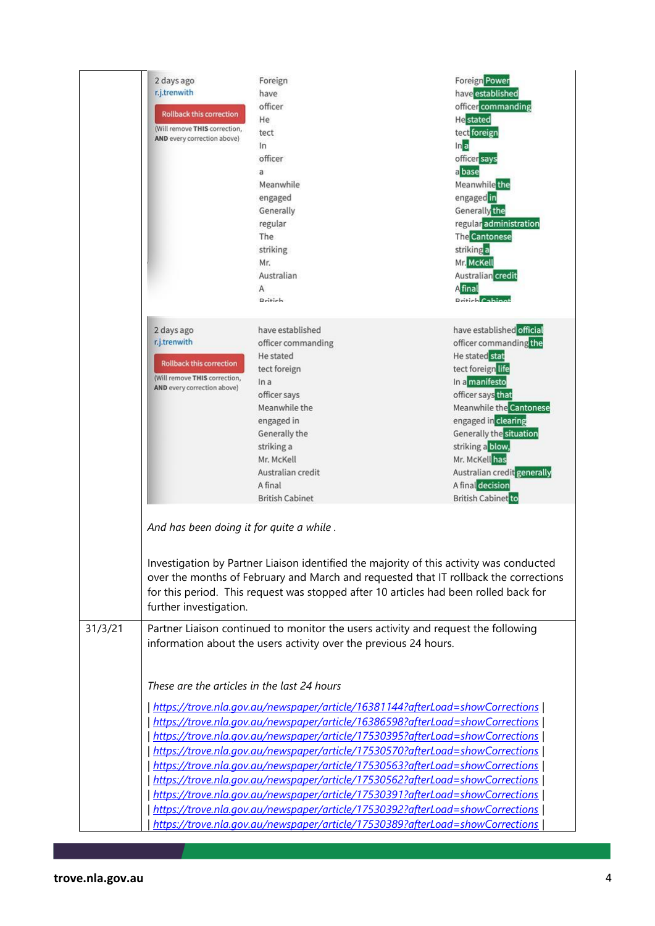|         | 2 days ago<br>r.j.trenwith<br><b>Rollback this correction</b><br>(Will remove THIS correction,<br>AND every correction above) | Foreign<br>have<br>officer<br>He<br>tect<br>In<br>officer<br>a<br>Meanwhile<br>engaged<br>Generally<br>regular<br>The<br>striking<br>Mr.<br>Australian<br>Α<br>Dritich.                                                                                                                                                                                                                                                                                                                                                                                                             | <b>Foreign Power</b><br>have established<br>officer commanding<br><b>He</b> stated<br>tect foreign<br>ln a<br>officer says<br>a base<br>Meanwhile the<br>engaged in<br>Generally the<br>regular administration<br><b>The Cantonese</b><br>striking a<br>Mr. McKell<br>Australian credit<br>A final<br><b>Dritich Cobino</b>          |
|---------|-------------------------------------------------------------------------------------------------------------------------------|-------------------------------------------------------------------------------------------------------------------------------------------------------------------------------------------------------------------------------------------------------------------------------------------------------------------------------------------------------------------------------------------------------------------------------------------------------------------------------------------------------------------------------------------------------------------------------------|--------------------------------------------------------------------------------------------------------------------------------------------------------------------------------------------------------------------------------------------------------------------------------------------------------------------------------------|
|         | 2 days ago<br>r.j.trenwith<br><b>Rollback this correction</b><br>(Will remove THIS correction,<br>AND every correction above) | have established<br>officer commanding<br>He stated<br>tect foreign<br>In a<br>officer says<br>Meanwhile the<br>engaged in<br>Generally the<br>striking a<br>Mr. McKell<br>Australian credit<br>A final<br><b>British Cabinet</b>                                                                                                                                                                                                                                                                                                                                                   | have established official<br>officer commanding the<br>He stated stat<br>tect foreign life<br>In a manifesto<br>officer says that<br>Meanwhile the Cantonese<br>engaged in clearing<br>Generally the situation<br>striking a blow,<br>Mr. McKell has<br>Australian credit generally<br>A final decision<br><b>British Cabinet</b> to |
|         | And has been doing it for quite a while.<br>further investigation.                                                            | Investigation by Partner Liaison identified the majority of this activity was conducted<br>for this period. This request was stopped after 10 articles had been rolled back for                                                                                                                                                                                                                                                                                                                                                                                                     | over the months of February and March and requested that IT rollback the corrections                                                                                                                                                                                                                                                 |
| 31/3/21 | These are the articles in the last 24 hours                                                                                   | Partner Liaison continued to monitor the users activity and request the following<br>information about the users activity over the previous 24 hours.<br>https://trove.nla.gov.au/newspaper/article/16381144?afterLoad=showCorrections<br>https://trove.nla.gov.au/newspaper/article/16386598?afterLoad=showCorrections                                                                                                                                                                                                                                                             |                                                                                                                                                                                                                                                                                                                                      |
|         |                                                                                                                               | https://trove.nla.gov.au/newspaper/article/17530395?afterLoad=showCorrections<br>https://trove.nla.gov.au/newspaper/article/17530570?afterLoad=showCorrections<br>https://trove.nla.gov.au/newspaper/article/17530563?afterLoad=showCorrections<br>https://trove.nla.gov.au/newspaper/article/17530562?afterLoad=showCorrections<br>https://trove.nla.gov.au/newspaper/article/17530391?afterLoad=showCorrections<br>https://trove.nla.gov.au/newspaper/article/17530392?afterLoad=showCorrections<br>https://trove.nla.gov.au/newspaper/article/17530389?afterLoad=showCorrections |                                                                                                                                                                                                                                                                                                                                      |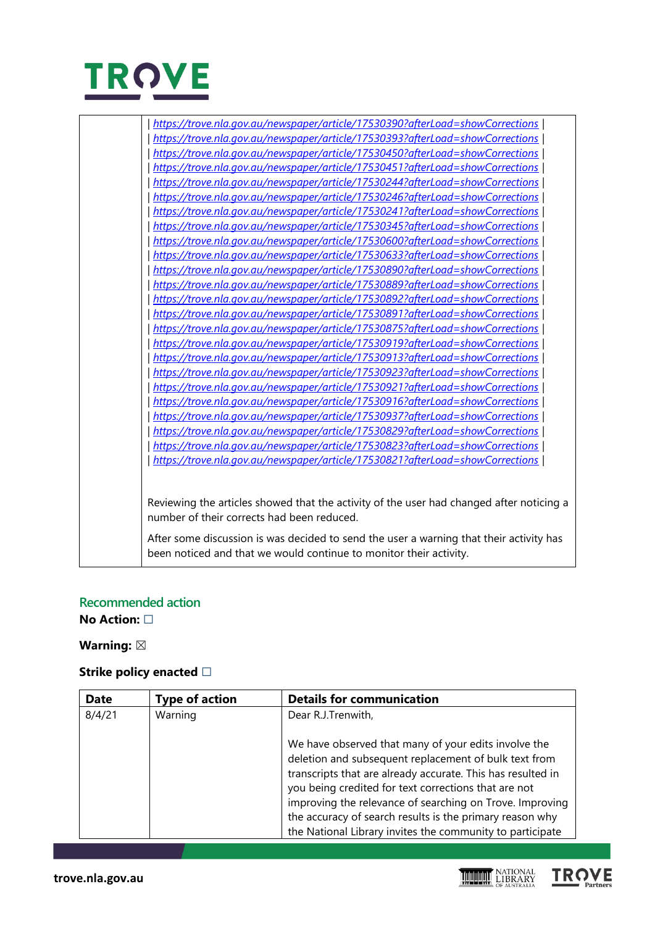

| https://trove.nla.gov.au/newspaper/article/17530390?afterLoad=showCorrections |
|-------------------------------------------------------------------------------|
| https://trove.nla.gov.au/newspaper/article/17530393?afterLoad=showCorrections |
| https://trove.nla.gov.au/newspaper/article/17530450?afterLoad=showCorrections |
| https://trove.nla.gov.au/newspaper/article/17530451?afterLoad=showCorrections |
| https://trove.nla.gov.au/newspaper/article/17530244?afterLoad=showCorrections |
| https://trove.nla.gov.au/newspaper/article/17530246?afterLoad=showCorrections |
| https://trove.nla.gov.au/newspaper/article/17530241?afterLoad=showCorrections |
| https://trove.nla.gov.au/newspaper/article/17530345?afterLoad=showCorrections |
| https://trove.nla.gov.au/newspaper/article/17530600?afterLoad=showCorrections |
| https://trove.nla.gov.au/newspaper/article/17530633?afterLoad=showCorrections |
| https://trove.nla.gov.au/newspaper/article/17530890?afterLoad=showCorrections |
| https://trove.nla.gov.au/newspaper/article/17530889?afterLoad=showCorrections |
| https://trove.nla.gov.au/newspaper/article/17530892?afterLoad=showCorrections |
| https://trove.nla.gov.au/newspaper/article/17530891?afterLoad=showCorrections |
| https://trove.nla.gov.au/newspaper/article/17530875?afterLoad=showCorrections |
| https://trove.nla.gov.au/newspaper/article/17530919?afterLoad=showCorrections |
| https://trove.nla.gov.au/newspaper/article/17530913?afterLoad=showCorrections |
| https://trove.nla.gov.au/newspaper/article/17530923?afterLoad=showCorrections |
| https://trove.nla.gov.au/newspaper/article/17530921?afterLoad=showCorrections |
| https://trove.nla.gov.au/newspaper/article/17530916?afterLoad=showCorrections |
| https://trove.nla.gov.au/newspaper/article/17530937?afterLoad=showCorrections |
| https://trove.nla.gov.au/newspaper/article/17530829?afterLoad=showCorrections |
| https://trove.nla.gov.au/newspaper/article/17530823?afterLoad=showCorrections |
| https://trove.nla.gov.au/newspaper/article/17530821?afterLoad=showCorrections |
|                                                                               |
|                                                                               |

Reviewing the articles showed that the activity of the user had changed after noticing a number of their corrects had been reduced.

After some discussion is was decided to send the user a warning that their activity has been noticed and that we would continue to monitor their activity.

## **Recommended action**

**No Action:** ☐

### Warning:  $\boxtimes$

#### **Strike policy enacted** □

| <b>Date</b> | <b>Type of action</b> | <b>Details for communication</b>                                                                                                                                                                                                                                                                                                                                                                                          |
|-------------|-----------------------|---------------------------------------------------------------------------------------------------------------------------------------------------------------------------------------------------------------------------------------------------------------------------------------------------------------------------------------------------------------------------------------------------------------------------|
| 8/4/21      | Warning               | Dear R.J.Trenwith,                                                                                                                                                                                                                                                                                                                                                                                                        |
|             |                       | We have observed that many of your edits involve the<br>deletion and subsequent replacement of bulk text from<br>transcripts that are already accurate. This has resulted in<br>you being credited for text corrections that are not<br>improving the relevance of searching on Trove. Improving<br>the accuracy of search results is the primary reason why<br>the National Library invites the community to participate |